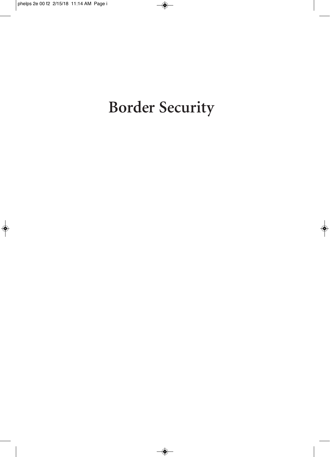# **Border Security**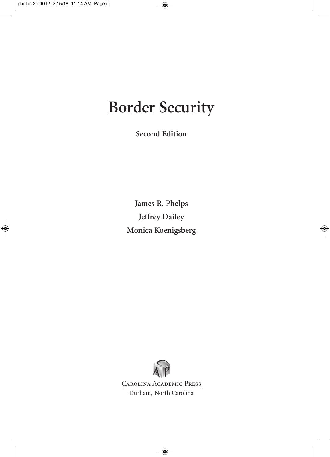## **Border Security**

**Second Edition**

**James R. Phelps Jeffrey Dailey Monica Koenigsberg**



Carolina Academic Press

Durham, North Carolina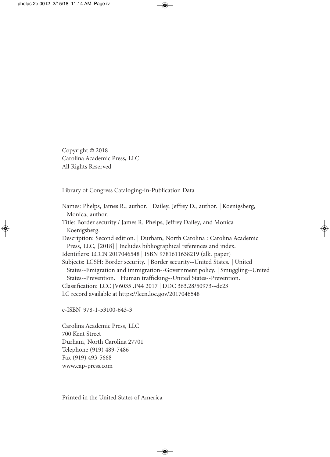Copyright © 2018 Carolina Academic Press, LLC All Rights Reserved

Library of Congress Cataloging-in-Publication Data

Names: Phelps, James R., author. | Dailey, Jeffrey D., author. | Koenigsberg, Monica, author. Title: Border security / James R. Phelps, Jeffrey Dailey, and Monica Koenigsberg. Description: Second edition. | Durham, North Carolina : Carolina Academic Press, LLC, [2018] | Includes bibliographical references and index. Identifiers: LCCN 2017046548 | ISBN 9781611638219 (alk. paper) Subjects: LCSH: Border security. | Border security--United States. | United States--Emigration and immigration--Government policy. | Smuggling--United States--Prevention. | Human trafficking--United States--Prevention. Classification: LCC JV6035 .P44 2017 | DDC 363.28/50973--dc23 LC record available at https://lccn.loc.gov/2017046548

e-ISBN 978-1-53100-643-3

Carolina Academic Press, LLC 700 Kent Street Durham, North Carolina 27701 Telephone (919) 489-7486 Fax (919) 493-5668 www.cap-press.com

Printed in the United States of America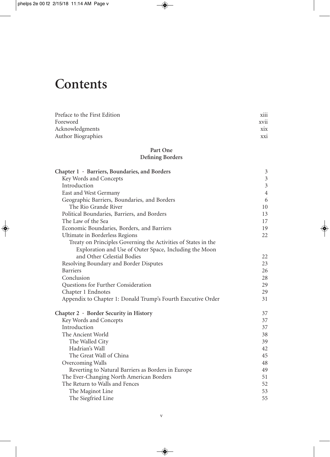### **Contents**

| Preface to the First Edition | $\cdots$<br><b>X111</b> |
|------------------------------|-------------------------|
| Foreword                     | <b>XV11</b>             |
| Acknowledgments              | xix                     |
| <b>Author Biographies</b>    | XX1                     |

### **Part One Defining Borders**

| Chapter 1 · Barriers, Boundaries, and Borders                  | 3              |
|----------------------------------------------------------------|----------------|
| Key Words and Concepts                                         | $\mathfrak{Z}$ |
| Introduction                                                   | $\overline{3}$ |
| East and West Germany                                          | $\overline{4}$ |
| Geographic Barriers, Boundaries, and Borders                   | 6              |
| The Rio Grande River                                           | 10             |
| Political Boundaries, Barriers, and Borders                    | 13             |
| The Law of the Sea                                             | 17             |
| Economic Boundaries, Borders, and Barriers                     | 19             |
| Ultimate in Borderless Regions                                 | 22             |
| Treaty on Principles Governing the Activities of States in the |                |
| Exploration and Use of Outer Space, Including the Moon         |                |
| and Other Celestial Bodies                                     | 22             |
| Resolving Boundary and Border Disputes                         | 23             |
| <b>Barriers</b>                                                | 26             |
| Conclusion                                                     | 28             |
| Questions for Further Consideration                            | 29             |
| Chapter 1 Endnotes                                             | 29             |
| Appendix to Chapter 1: Donald Trump's Fourth Executive Order   | 31             |
| Chapter $2 \cdot$ Border Security in History                   | 37             |
| Key Words and Concepts                                         | 37             |
| Introduction                                                   | 37             |
| The Ancient World                                              | 38             |
| The Walled City                                                | 39             |
| Hadrian's Wall                                                 | 42             |
| The Great Wall of China                                        | 45             |
| Overcoming Walls                                               | 48             |
| Reverting to Natural Barriers as Borders in Europe             | 49             |
| The Ever-Changing North American Borders                       | 51             |
| The Return to Walls and Fences                                 | 52             |
| The Maginot Line                                               | 53             |
| The Siegfried Line                                             | 55             |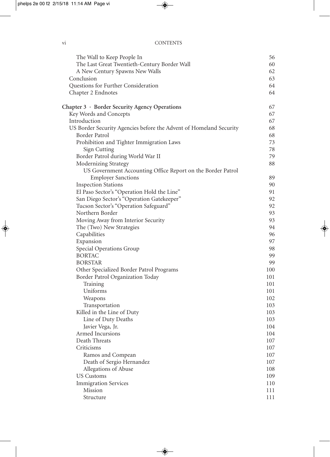| The Wall to Keep People In                                         | 56       |
|--------------------------------------------------------------------|----------|
| The Last Great Twentieth-Century Border Wall                       | 60       |
| A New Century Spawns New Walls                                     | 62       |
| Conclusion                                                         | 63       |
| Questions for Further Consideration                                | 64       |
| Chapter 2 Endnotes                                                 | 64       |
| Chapter $3 \cdot$ Border Security Agency Operations                | 67       |
| Key Words and Concepts                                             | 67       |
| Introduction                                                       | 67       |
| US Border Security Agencies before the Advent of Homeland Security | 68       |
| Border Patrol                                                      | 68       |
| Prohibition and Tighter Immigration Laws                           | 73       |
| Sign Cutting                                                       | 78       |
| Border Patrol during World War II                                  | 79       |
| Modernizing Strategy                                               | 88       |
| US Government Accounting Office Report on the Border Patrol        |          |
| <b>Employer Sanctions</b>                                          | 89       |
| <b>Inspection Stations</b>                                         | 90       |
| El Paso Sector's "Operation Hold the Line"                         | 91       |
| San Diego Sector's "Operation Gatekeeper"                          | 92       |
| Tucson Sector's "Operation Safeguard"<br>Northern Border           | 92<br>93 |
| Moving Away from Interior Security                                 | 93       |
| The (Two) New Strategies                                           | 94       |
| Capabilities                                                       | 96       |
| Expansion                                                          | 97       |
| Special Operations Group                                           | 98       |
| <b>BORTAC</b>                                                      | 99       |
| <b>BORSTAR</b>                                                     | 99       |
| Other Specialized Border Patrol Programs                           | 100      |
| Border Patrol Organization Today                                   | 101      |
| Training                                                           | 101      |
| Uniforms                                                           | 101      |
| Weapons                                                            | 102      |
| Transportation                                                     | 103      |
| Killed in the Line of Duty                                         | 103      |
| Line of Duty Deaths                                                | 103      |
| Javier Vega, Jr.                                                   | 104      |
| Armed Incursions                                                   | 104      |
| Death Threats                                                      | 107      |
| Criticisms                                                         | 107      |
| Ramos and Compean                                                  | 107      |
| Death of Sergio Hernandez                                          | 107      |
| Allegations of Abuse                                               | 108      |
| <b>US Customs</b>                                                  | 109      |
| <b>Immigration Services</b>                                        | 110      |
| Mission                                                            | 111      |
| Structure                                                          | 111      |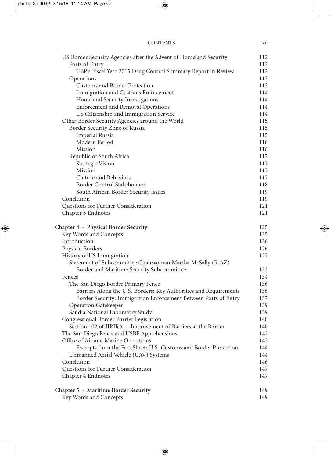| US Border Security Agencies after the Advent of Homeland Security | 112 |
|-------------------------------------------------------------------|-----|
| Ports of Entry                                                    | 112 |
| CBP's Fiscal Year 2015 Drug Control Summary Report in Review      | 112 |
| Operations                                                        | 113 |
| Customs and Border Protection                                     | 113 |
| Immigration and Customs Enforcement                               | 114 |
| Homeland Security Investigations                                  | 114 |
| <b>Enforcement and Removal Operations</b>                         | 114 |
| US Citizenship and Immigration Service                            | 114 |
| Other Border Security Agencies around the World                   | 115 |
| Border Security Zone of Russia                                    | 115 |
| <b>Imperial Russia</b>                                            | 115 |
| Modern Period                                                     | 116 |
| Mission                                                           | 116 |
| Republic of South Africa                                          | 117 |
| <b>Strategic Vision</b>                                           | 117 |
| Mission                                                           | 117 |
| Culture and Behaviors                                             | 117 |
| Border Control Stakeholders                                       | 118 |
| South African Border Security Issues                              | 119 |
| Conclusion                                                        | 119 |
| Questions for Further Consideration                               | 121 |
| Chapter 3 Endnotes                                                | 121 |
|                                                                   | 125 |
| Chapter $4 \cdot$ Physical Border Security                        | 125 |
| Key Words and Concepts<br>Introduction                            | 126 |
|                                                                   |     |
| Physical Borders                                                  | 126 |
| History of US Immigration                                         | 127 |
| Statement of Subcommittee Chairwoman Martha McSally (R-AZ)        |     |
| Border and Maritime Security Subcommittee                         | 133 |
| Fences                                                            | 134 |
| The San Diego Border Primary Fence                                | 136 |
| Barriers Along the U.S. Borders: Key Authorities and Requirements | 136 |
| Border Security: Immigration Enforcement Between Ports of Entry   | 137 |
| <b>Operation Gatekeeper</b>                                       | 139 |
| Sandia National Laboratory Study                                  | 139 |
| Congressional Border Barrier Legislation                          | 140 |
| Section 102 of IIRIRA—Improvement of Barriers at the Border       | 140 |
| The San Diego Fence and USBP Apprehensions                        | 142 |
| Office of Air and Marine Operations                               | 143 |
| Excerpts from the Fact Sheet: U.S. Customs and Border Protection  | 144 |
| Unmanned Aerial Vehicle (UAV) Systems                             | 144 |
| Conclusion                                                        | 146 |
| Questions for Further Consideration                               | 147 |
| Chapter 4 Endnotes                                                | 147 |
| Chapter 5 · Maritime Border Security                              | 149 |
| Key Words and Concepts                                            | 149 |
|                                                                   |     |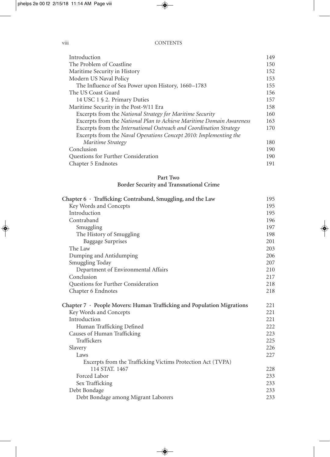### viii CONTENTS

| Introduction                                                         | 149 |
|----------------------------------------------------------------------|-----|
| The Problem of Coastline                                             | 150 |
| Maritime Security in History                                         | 152 |
| Modern US Naval Policy                                               | 153 |
| The Influence of Sea Power upon History, 1660-1783                   | 155 |
| The US Coast Guard                                                   | 156 |
| 14 USC 1 § 2. Primary Duties                                         | 157 |
| Maritime Security in the Post-9/11 Era                               | 158 |
| Excerpts from the National Strategy for Maritime Security            | 160 |
| Excerpts from the National Plan to Achieve Maritime Domain Awareness | 163 |
| Excerpts from the International Outreach and Coordination Strategy   | 170 |
| Excerpts from the Naval Operations Concept 2010: Implementing the    |     |
| Maritime Strategy                                                    | 180 |
| Conclusion                                                           | 190 |
| Questions for Further Consideration                                  | 190 |
| Chapter 5 Endnotes                                                   | 191 |

### **Part Two Border Security and Transnational Crime**

| Chapter 6 · Trafficking: Contraband, Smuggling, and the Law                  | 195 |
|------------------------------------------------------------------------------|-----|
| Key Words and Concepts                                                       | 195 |
| Introduction                                                                 | 195 |
| Contraband                                                                   | 196 |
| Smuggling                                                                    | 197 |
| The History of Smuggling                                                     | 198 |
| <b>Baggage Surprises</b>                                                     | 201 |
| The Law                                                                      | 203 |
| Dumping and Antidumping                                                      | 206 |
| Smuggling Today                                                              | 207 |
| Department of Environmental Affairs                                          | 210 |
| Conclusion                                                                   | 217 |
| Questions for Further Consideration                                          | 218 |
| Chapter 6 Endnotes                                                           | 218 |
| Chapter $7 \cdot$ People Movers: Human Trafficking and Population Migrations | 221 |
| Key Words and Concepts                                                       | 221 |
| Introduction                                                                 | 221 |
| Human Trafficking Defined                                                    | 222 |
| Causes of Human Trafficking                                                  | 223 |
| Traffickers                                                                  | 225 |
| Slavery                                                                      | 226 |
| Laws                                                                         | 227 |
| Excerpts from the Trafficking Victims Protection Act (TVPA)                  |     |
| 114 STAT. 1467                                                               | 228 |
| Forced Labor                                                                 | 233 |
| Sex Trafficking                                                              | 233 |
| Debt Bondage                                                                 | 233 |
| Debt Bondage among Migrant Laborers                                          | 233 |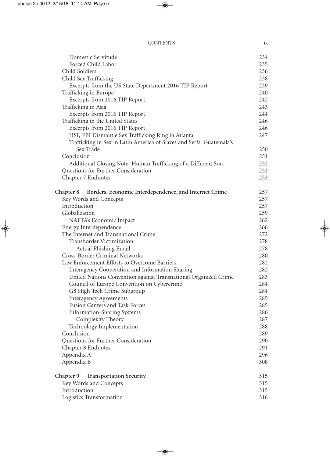### CONTENTS ix

| Domestic Servitude                                                   | 234 |
|----------------------------------------------------------------------|-----|
| Forced Child Labor                                                   | 235 |
| Child Soldiers                                                       | 236 |
| Child Sex Trafficking                                                | 238 |
| Excerpts from the US State Department 2016 TIP Report                | 239 |
| Trafficking in Europe                                                | 240 |
| Excerpts from 2016 TIP Report                                        | 242 |
| Trafficking in Asia                                                  | 243 |
| Excerpts from 2016 TIP Report                                        | 244 |
| Trafficking in the United States                                     | 246 |
| Excerpts from 2016 TIP Report                                        | 246 |
| HSI, FBI Dismantle Sex Trafficking Ring in Atlanta                   | 247 |
| Trafficking in Sex in Latin America of Slaves and Serfs: Guatemala's |     |
| Sex Trade                                                            | 250 |
| Conclusion                                                           | 251 |
| Additional Closing Note: Human Trafficking of a Different Sort       | 252 |
| Questions for Further Consideration                                  | 253 |
| Chapter 7 Endnotes                                                   | 253 |
| Chapter 8 · Borders, Economic Interdependence, and Internet Crime    | 257 |
| Key Words and Concepts                                               | 257 |
| Introduction                                                         | 257 |
| Globalization                                                        | 259 |
| NAFTA's Economic Impact                                              | 262 |
| Energy Interdependence                                               | 266 |
| The Internet and Transnational Crime                                 | 272 |
| Transborder Victimization                                            | 278 |
| Actual Phishing Email                                                | 278 |
| Cross-Border Criminal Networks                                       | 280 |
| Law Enforcement Efforts to Overcome Barriers                         | 282 |
| Interagency Cooperation and Information Sharing                      | 282 |
| United Nations Convention against Transnational Organized Crime      | 283 |
| Council of Europe Convention on Cybercrime                           | 284 |
| G8 High Tech Crime Subgroup                                          | 284 |
| <b>Interagency Agreements</b>                                        | 285 |
| <b>Fusion Centers and Task Forces</b>                                | 285 |
| <b>Information-Sharing Systems</b>                                   | 286 |
| Complexity Theory                                                    | 287 |
| Technology Implementation                                            | 288 |
| Conclusion                                                           | 289 |
| Questions for Further Consideration                                  | 290 |
| Chapter 8 Endnotes                                                   | 291 |
| Appendix A                                                           | 296 |
| Appendix B                                                           | 308 |
| Chapter 9 · Transportation Security                                  | 315 |
| Key Words and Concepts                                               | 315 |
| Introduction                                                         | 315 |
| Logistics Transformation                                             | 316 |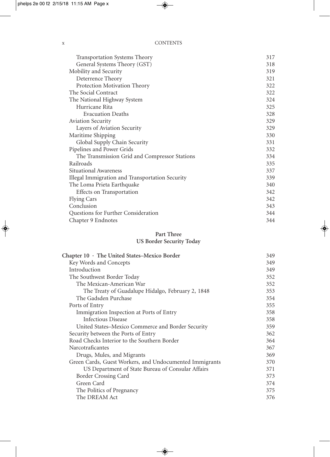| <b>Transportation Systems Theory</b>            | 317 |
|-------------------------------------------------|-----|
| General Systems Theory (GST)                    | 318 |
| Mobility and Security                           | 319 |
| Deterrence Theory                               | 321 |
| Protection Motivation Theory                    | 322 |
| The Social Contract                             | 322 |
| The National Highway System                     | 324 |
| Hurricane Rita                                  | 325 |
| <b>Evacuation Deaths</b>                        | 328 |
| <b>Aviation Security</b>                        | 329 |
| Layers of Aviation Security                     | 329 |
| Maritime Shipping                               | 330 |
| Global Supply Chain Security                    | 331 |
| Pipelines and Power Grids                       | 332 |
| The Transmission Grid and Compressor Stations   | 334 |
| Railroads                                       | 335 |
| Situational Awareness                           | 337 |
| Illegal Immigration and Transportation Security | 339 |
| The Loma Prieta Earthquake                      | 340 |
| Effects on Transportation                       | 342 |
| <b>Flying Cars</b>                              | 342 |
| Conclusion                                      | 343 |
| Questions for Further Consideration             | 344 |
| Chapter 9 Endnotes                              | 344 |

### **Part Three US Border Security Today**

| Chapter 10 · The United States-Mexico Border            | 349 |
|---------------------------------------------------------|-----|
| Key Words and Concepts                                  | 349 |
| Introduction                                            | 349 |
| The Southwest Border Today                              | 352 |
| The Mexican-American War                                | 352 |
| The Treaty of Guadalupe Hidalgo, February 2, 1848       | 353 |
| The Gadsden Purchase                                    | 354 |
| Ports of Entry                                          | 355 |
| Immigration Inspection at Ports of Entry                | 358 |
| Infectious Disease                                      | 358 |
| United States-Mexico Commerce and Border Security       | 359 |
| Security between the Ports of Entry                     | 362 |
| Road Checks Interior to the Southern Border             | 364 |
| Narcotraficantes                                        | 367 |
| Drugs, Mules, and Migrants                              | 369 |
| Green Cards, Guest Workers, and Undocumented Immigrants | 370 |
| US Department of State Bureau of Consular Affairs       | 371 |
| Border Crossing Card                                    | 373 |
| Green Card                                              | 374 |
| The Politics of Pregnancy                               | 375 |
| The DREAM Act                                           | 376 |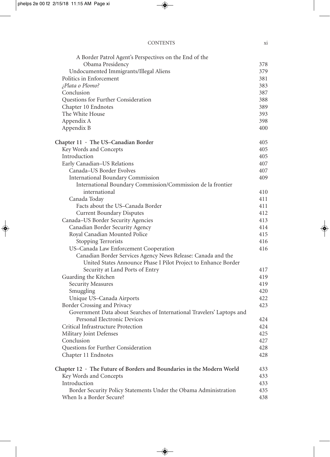| <b>CONTENTS</b> | X1 |
|-----------------|----|
|                 |    |

| A Border Patrol Agent's Perspectives on the End of the                      |     |
|-----------------------------------------------------------------------------|-----|
| Obama Presidency                                                            | 378 |
| Undocumented Immigrants/Illegal Aliens                                      | 379 |
| Politics in Enforcement                                                     | 381 |
| ;Plata o Plomo?                                                             | 383 |
| Conclusion                                                                  | 387 |
| Questions for Further Consideration                                         | 388 |
| Chapter 10 Endnotes                                                         | 389 |
| The White House                                                             | 393 |
| Appendix A                                                                  | 398 |
| Appendix B                                                                  | 400 |
| Chapter $11 \cdot$ The US-Canadian Border                                   | 405 |
| Key Words and Concepts                                                      | 405 |
| Introduction                                                                | 405 |
| Early Canadian-US Relations                                                 | 407 |
| Canada-US Border Evolves                                                    | 407 |
| <b>International Boundary Commission</b>                                    | 409 |
| International Boundary Commission/Commission de la frontier                 |     |
| international                                                               | 410 |
| Canada Today                                                                | 411 |
| Facts about the US-Canada Border                                            | 411 |
| <b>Current Boundary Disputes</b>                                            | 412 |
| Canada-US Border Security Agencies                                          | 413 |
| Canadian Border Security Agency                                             | 414 |
| Royal Canadian Mounted Police                                               | 415 |
| <b>Stopping Terrorists</b>                                                  | 416 |
| US-Canada Law Enforcement Cooperation                                       | 416 |
| Canadian Border Services Agency News Release: Canada and the                |     |
| United States Announce Phase I Pilot Project to Enhance Border              |     |
| Security at Land Ports of Entry                                             | 417 |
| Guarding the Kitchen                                                        | 419 |
| <b>Security Measures</b>                                                    | 419 |
| Smuggling                                                                   | 420 |
| Unique US-Canada Airports                                                   | 422 |
| Border Crossing and Privacy                                                 | 423 |
| Government Data about Searches of International Travelers' Laptops and      |     |
| Personal Electronic Devices                                                 | 424 |
| Critical Infrastructure Protection                                          | 424 |
| Military Joint Defenses                                                     | 425 |
| Conclusion                                                                  | 427 |
| Questions for Further Consideration                                         | 428 |
| Chapter 11 Endnotes                                                         | 428 |
| Chapter $12 \cdot$ The Future of Borders and Boundaries in the Modern World | 433 |
| Key Words and Concepts                                                      | 433 |
| Introduction                                                                | 433 |
| Border Security Policy Statements Under the Obama Administration            | 435 |
| When Is a Border Secure?                                                    | 438 |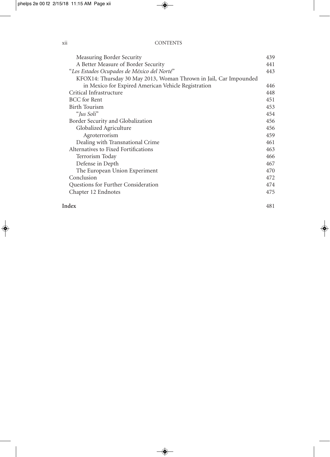|     | <b>CONTENTS</b> |
|-----|-----------------|
| X11 |                 |

| Measuring Border Security                                         | 439 |
|-------------------------------------------------------------------|-----|
| A Better Measure of Border Security                               | 441 |
| "Los Estados Ocupados de México del Norté"                        | 443 |
| KFOX14: Thursday 30 May 2013, Woman Thrown in Jail, Car Impounded |     |
| in Mexico for Expired American Vehicle Registration               | 446 |
| Critical Infrastructure                                           | 448 |
| <b>BCC</b> for Rent                                               | 451 |
| <b>Birth Tourism</b>                                              | 453 |
| "Jus Soli"                                                        | 454 |
| Border Security and Globalization                                 | 456 |
| Globalized Agriculture                                            | 456 |
| Agroterrorism                                                     | 459 |
| Dealing with Transnational Crime                                  | 461 |
| Alternatives to Fixed Fortifications                              | 463 |
| Terrorism Today                                                   | 466 |
| Defense in Depth                                                  | 467 |
| The European Union Experiment                                     | 470 |
| Conclusion                                                        | 472 |
| Questions for Further Consideration                               | 474 |
| Chapter 12 Endnotes                                               | 475 |
|                                                                   |     |

#### **Index** 481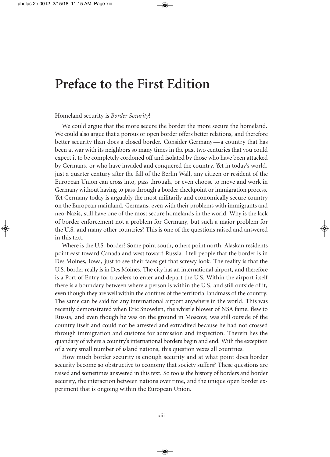### **Preface to the First Edition**

### Homeland security is *Border Security*!

We could argue that the more secure the border the more secure the homeland. We could also argue that a porous or open border offers better relations, and therefore better security than does a closed border. Consider Germany—a country that has been at war with its neighbors so many times in the past two centuries that you could expect it to be completely cordoned off and isolated by those who have been attacked by Germans, or who have invaded and conquered the country. Yet in today's world, just a quarter century after the fall of the Berlin Wall, any citizen or resident of the European Union can cross into, pass through, or even choose to move and work in Germany without having to pass through a border checkpoint or immigration process. Yet Germany today is arguably the most militarily and economically secure country on the European mainland. Germans, even with their problems with immigrants and neo-Nazis, still have one of the most secure homelands in the world. Why is the lack of border enforcement not a problem for Germany, but such a major problem for the U.S. and many other countries? This is one of the questions raised and answered in this text.

Where is the U.S. border? Some point south, others point north. Alaskan residents point east toward Canada and west toward Russia. I tell people that the border is in Des Moines, Iowa, just to see their faces get that screwy look. The reality is that the U.S. border really is in Des Moines. The city has an international airport, and therefore is a Port of Entry for travelers to enter and depart the U.S. Within the airport itself there is a boundary between where a person is within the U.S. and still outside of it, even though they are well within the confines of the territorial landmass of the country. The same can be said for any international airport anywhere in the world. This was recently demonstrated when Eric Snowden, the whistle blower of NSA fame, flew to Russia, and even though he was on the ground in Moscow, was still outside of the country itself and could not be arrested and extradited because he had not crossed through immigration and customs for admission and inspection. Therein lies the quandary of where a country's international borders begin and end. With the exception of a very small number of island nations, this question vexes all countries.

How much border security is enough security and at what point does border security become so obstructive to economy that society suffers? These questions are raised and sometimes answered in this text. So too is the history of borders and border security, the interaction between nations over time, and the unique open border experiment that is ongoing within the European Union.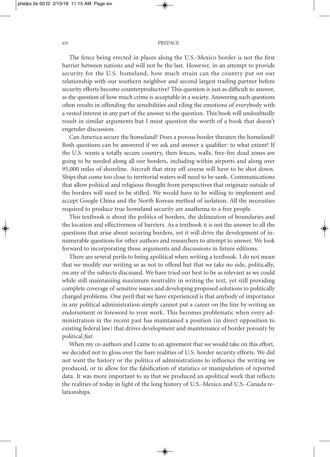#### xiv PREFACE

The fence being erected in places along the U.S.-Mexico border is not the first barrier between nations and will not be the last. However, in an attempt to provide security for the U.S. homeland, how much strain can the country put on our relationship with our southern neighbor and second largest trading partner before security efforts become counterproductive? This question is just as difficult to answer, as the question of how much crime is acceptable in a society. Answering such questions often results in offending the sensibilities and riling the emotions of everybody with a vested interest in any part of the answer to the question. This book will undoubtedly result in similar arguments but I must question the worth of a book that doesn't engender discussion.

Can America secure the homeland? Does a porous border threaten the homeland? Both questions can be answered if we ask and answer a qualifier: to what extent? If the U.S. wants a totally secure country, then fences, walls, free-fire dead zones are going to be needed along all our borders, including within airports and along over 95,000 miles of shoreline. Aircraft that stray off course will have to be shot down. Ships that come too close to territorial waters will need to be sunk. Communications that allow political and religious thought from perspectives that originate outside of the borders will need to be stifled. We would have to be willing to implement and accept Google China and the North Korean method of isolation. All the necessities required to produce true homeland security are anathema to a free people.

This textbook is about the politics of borders, the delineation of boundaries and the location and effectiveness of barriers. As a textbook it is not the answer to all the questions that arise about securing borders, yet it will drive the development of innumerable questions for other authors and researchers to attempt to answer. We look forward to incorporating those arguments and discussions in future editions.

There are several perils to being apolitical when writing a textbook. I do not mean that we modify our writing so as not to offend but that we take no side, politically, on any of the subjects discussed. We have tried our best to be as relevant as we could while still maintaining maximum neutrality in writing the text, yet still providing complete coverage of sensitive issues and developing proposed solutions to politically charged problems. One peril that we have experienced is that anybody of importance in any political administration simply cannot put a career on the line by writing an endorsement or foreword to your work. This becomes problematic when every administration in the recent past has maintained a position (in direct opposition to existing federal law) that drives development and maintenance of border porosity by political *fiat*.

When my co-authors and I came to an agreement that we would take on this effort, we decided not to gloss over the bare realities of U.S. border security efforts. We did not want the history or the politics of administrations to influence the writing we produced, or to allow for the falsification of statistics or manipulation of reported data. It was more important to us that we produced an apolitical work that reflects the realities of today in light of the long history of U.S.-Mexico and U.S.-Canada relationships.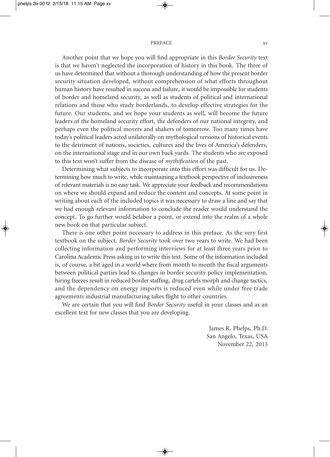#### PREFACE xv

Another point that we hope you will find appropriate in this *Border Security* text is that we haven't neglected the incorporation of history in this book. The three of us have determined that without a thorough understanding of how the present border security situation developed, without comprehension of what efforts throughout human history have resulted in success and failure, it would be impossible for students of border and homeland security, as well as students of political and international relations and those who study borderlands, to develop effective strategies for the future. Our students, and we hope your students as well, will become the future leaders of the homeland security effort, the defenders of our national integrity, and perhaps even the political movers and shakers of tomorrow. Too many times have today's political leaders acted unilaterally on mythological versions of historical events to the detriment of nations, societies, cultures and the lives of America's defenders, on the international stage and in our own back yards. The students who are exposed to this text won't suffer from the disease of *mythification* of the past.

Determining what subjects to incorporate into this effort was difficult for us. Determining how much to write, while maintaining a textbook perspective of inclusiveness of relevant materials is no easy task. We appreciate your feedback and recommendations on where we should expand and reduce the content and concepts. At some point in writing about each of the included topics it was necessary to draw a line and say that we had enough relevant information to conclude the reader would understand the concept. To go further would belabor a point, or extend into the realm of a whole new book on that particular subject.

There is one other point necessary to address in this preface. As the very first textbook on the subject, *Border Security* took over two years to write. We had been collecting information and performing interviews for at least three years prior to Carolina Academic Press asking us to write this text. Some of the information included is, of course, a bit aged in a world where from month to month the fiscal arguments between political parties lead to changes in border security policy implementation, hiring freezes result in reduced border staffing, drug cartels morph and change tactics, and the dependency on energy imports is reduced even while under free trade agreements industrial manufacturing takes flight to other countries.

We are certain that you will find *Border Security* useful in your classes and as an excellent text for new classes that you are developing.

> James R. Phelps, Ph.D. San Angelo, Texas, USA November 22, 2013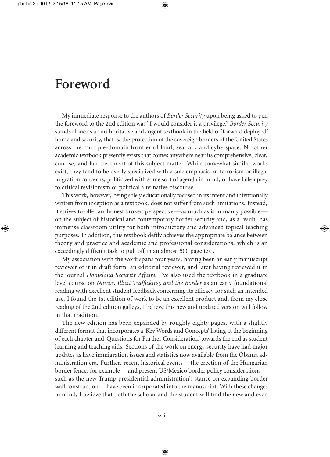### **Foreword**

My immediate response to the authors of *Border Security* upon being asked to pen the foreword to the 2nd edition was "I would consider it a privilege." *Border Security* stands alone as an authoritative and cogent textbook in the field of 'forward deployed' homeland security, that is, the protection of the sovereign borders of the United States across the multiple-domain frontier of land, sea, air, and cyberspace. No other academic textbook presently exists that comes anywhere near its comprehensive, clear, concise, and fair treatment of this subject matter. While somewhat similar works exist, they tend to be overly specialized with a sole emphasis on terrorism or illegal migration concerns, politicized with some sort of agenda in mind, or have fallen prey to critical revisionism or political alternative discourse.

This work, however, being solely educationally focused in its intent and intentionally written from inception as a textbook, does not suffer from such limitations. Instead, it strives to offer an 'honest broker' perspective—as much as is humanly possible on the subject of historical and contemporary border security and, as a result, has immense classroom utility for both introductory and advanced topical teaching purposes. In addition, this textbook deftly achieves the appropriate balance between theory and practice and academic and professional considerations, which is an exceedingly difficult task to pull off in an almost 500 page text.

My association with the work spans four years, having been an early manuscript reviewer of it in draft form, an editorial reviewer, and later having reviewed it in the journal *Homeland Security Affairs*. I've also used the textbook in a graduate level course on *Narcos, Illicit Trafficking, and the Border* as an early foundational reading with excellent student feedback concerning its efficacy for such an intended use. I found the 1st edition of work to be an excellent product and, from my close reading of the 2nd edition galleys, I believe this new and updated version will follow in that tradition.

The new edition has been expanded by roughly eighty pages, with a slightly different format that incorporates a 'Key Words and Concepts' listing at the beginning of each chapter and 'Questions for Further Consideration' towards the end as student learning and teaching aids. Sections of the work on energy security have had major updates as have immigration issues and statistics now available from the Obama administration era. Further, recent historical events—the erection of the Hungarian border fence, for example—and present US/Mexico border policy considerations such as the new Trump presidential administration's stance on expanding border wall construction—have been incorporated into the manuscript. With these changes in mind, I believe that both the scholar and the student will find the new and even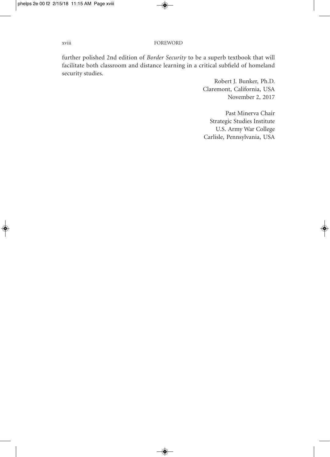further polished 2nd edition of *Border Security* to be a superb textbook that will facilitate both classroom and distance learning in a critical subfield of homeland security studies.

> Robert J. Bunker, Ph.D. Claremont, California, USA November 2, 2017

Past Minerva Chair Strategic Studies Institute U.S. Army War College Carlisle, Pennsylvania, USA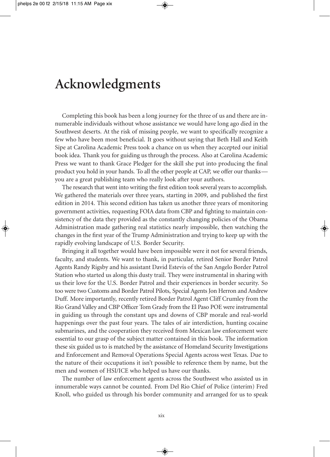### **Acknowledgments**

Completing this book has been a long journey for the three of us and there are innumerable individuals without whose assistance we would have long ago died in the Southwest deserts. At the risk of missing people, we want to specifically recognize a few who have been most beneficial. It goes without saying that Beth Hall and Keith Sipe at Carolina Academic Press took a chance on us when they accepted our initial book idea. Thank you for guiding us through the process. Also at Carolina Academic Press we want to thank Grace Pledger for the skill she put into producing the final product you hold in your hands. To all the other people at CAP, we offer our thanks you are a great publishing team who really look after your authors.

The research that went into writing the first edition took several years to accomplish. We gathered the materials over three years, starting in 2009, and published the first edition in 2014. This second edition has taken us another three years of monitoring government activities, requesting FOIA data from CBP and fighting to maintain consistency of the data they provided as the constantly changing policies of the Obama Administration made gathering real statistics nearly impossible, then watching the changes in the first year of the Trump Administration and trying to keep up with the rapidly evolving landscape of U.S. Border Security.

Bringing it all together would have been impossible were it not for several friends, faculty, and students. We want to thank, in particular, retired Senior Border Patrol Agents Randy Rigsby and his assistant David Estevis of the San Angelo Border Patrol Station who started us along this dusty trail. They were instrumental in sharing with us their love for the U.S. Border Patrol and their experiences in border security. So too were two Customs and Border Patrol Pilots, Special Agents Jon Herron and Andrew Duff. More importantly, recently retired Border Patrol Agent Cliff Crumley from the Rio GrandValley and CBP Officer Tom Grady from the El Paso POE were instrumental in guiding us through the constant ups and downs of CBP morale and real-world happenings over the past four years. The tales of air interdiction, hunting cocaine submarines, and the cooperation they received from Mexican law enforcement were essential to our grasp of the subject matter contained in this book. The information these six guided us to is matched by the assistance of Homeland Security Investigations and Enforcement and Removal Operations Special Agents across west Texas. Due to the nature of their occupations it isn't possible to reference them by name, but the men and women of HSI/ICE who helped us have our thanks.

The number of law enforcement agents across the Southwest who assisted us in innumerable ways cannot be counted. From Del Rio Chief of Police (interim) Fred Knoll, who guided us through his border community and arranged for us to speak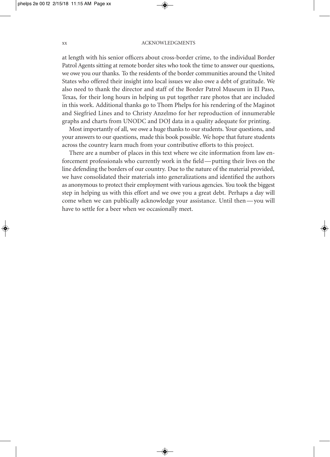#### xx ACKNOWLEDGMENTS

at length with his senior officers about cross-border crime, to the individual Border Patrol Agents sitting at remote border sites who took the time to answer our questions, we owe you our thanks. To the residents of the border communities around the United States who offered their insight into local issues we also owe a debt of gratitude. We also need to thank the director and staff of the Border Patrol Museum in El Paso, Texas, for their long hours in helping us put together rare photos that are included in this work. Additional thanks go to Thom Phelps for his rendering of the Maginot and Siegfried Lines and to Christy Anzelmo for her reproduction of innumerable graphs and charts from UNODC and DOJ data in a quality adequate for printing.

Most importantly of all, we owe a huge thanks to our students. Your questions, and your answers to our questions, made this book possible. We hope that future students across the country learn much from your contributive efforts to this project.

There are a number of places in this text where we cite information from law enforcement professionals who currently work in the field—putting their lives on the line defending the borders of our country. Due to the nature of the material provided, we have consolidated their materials into generalizations and identified the authors as anonymous to protect their employment with various agencies. You took the biggest step in helping us with this effort and we owe you a great debt. Perhaps a day will come when we can publically acknowledge your assistance. Until then—you will have to settle for a beer when we occasionally meet.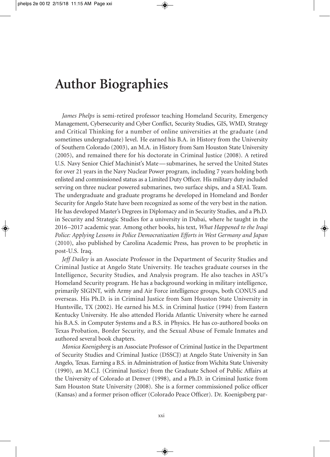### **Author Biographies**

*James Phelps* is semi-retired professor teaching Homeland Security, Emergency Management, Cybersecurity and Cyber Conflict, Security Studies, GIS, WMD, Strategy and Critical Thinking for a number of online universities at the graduate (and sometimes undergraduate) level. He earned his B.A. in History from the University of Southern Colorado (2003), an M.A. in History from Sam Houston State University (2005), and remained there for his doctorate in Criminal Justice (2008). A retired U.S. Navy Senior Chief Machinist's Mate—submarines, he served the United States for over 21 years in the Navy Nuclear Power program, including 7 years holding both enlisted and commissioned status as a Limited Duty Officer. His military duty included serving on three nuclear powered submarines, two surface ships, and a SEAL Team. The undergraduate and graduate programs he developed in Homeland and Border Security for Angelo State have been recognized as some of the very best in the nation. He has developed Master's Degrees in Diplomacy and in Security Studies, and a Ph.D. in Security and Strategic Studies for a university in Dubai, where he taught in the 2016–2017 academic year. Among other books, his text, *What Happened to the Iraqi Police: Applying Lessons in Police Democratization Efforts in West Germany and Japan* (2010), also published by Carolina Academic Press, has proven to be prophetic in post-U.S. Iraq.

*Jeff Dailey* is an Associate Professor in the Department of Security Studies and Criminal Justice at Angelo State University. He teaches graduate courses in the Intelligence, Security Studies, and Analysis program. He also teaches in ASU's Homeland Security program. He has a background working in military intelligence, primarily SIGINT, with Army and Air Force intelligence groups, both CONUS and overseas. His Ph.D. is in Criminal Justice from Sam Houston State University in Huntsville, TX (2002). He earned his M.S. in Criminal Justice (1994) from Eastern Kentucky University. He also attended Florida Atlantic University where he earned his B.A.S. in Computer Systems and a B.S. in Physics. He has co-authored books on Texas Probation, Border Security, and the Sexual Abuse of Female Inmates and authored several book chapters.

*Monica Koenigsberg* is an Associate Professor of Criminal Justice in the Department of Security Studies and Criminal Justice (DSSCJ) at Angelo State University in San Angelo, Texas. Earning a B.S. in Administration of Justice from Wichita State University (1990), an M.C.J. (Criminal Justice) from the Graduate School of Public Affairs at the University of Colorado at Denver (1998), and a Ph.D. in Criminal Justice from Sam Houston State University (2008). She is a former commissioned police officer (Kansas) and a former prison officer (Colorado Peace Officer). Dr. Koenigsberg par-